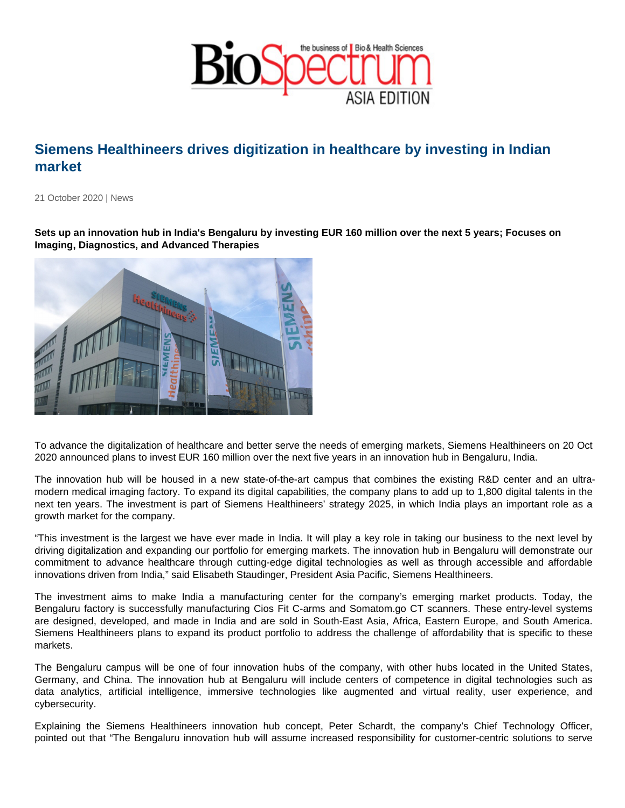## Siemens Healthineers drives digitization in healthcare by investing in Indian market

21 October 2020 | News

Sets up an innovation hub in India's Bengaluru by investing EUR 160 million over the next 5 years; Focuses on Imaging, Diagnostics, and Advanced Therapies

To advance the digitalization of healthcare and better serve the needs of emerging markets, Siemens Healthineers on 20 Oct 2020 announced plans to invest EUR 160 million over the next five years in an innovation hub in Bengaluru, India.

The innovation hub will be housed in a new state-of-the-art campus that combines the existing R&D center and an ultramodern medical imaging factory. To expand its digital capabilities, the company plans to add up to 1,800 digital talents in the next ten years. The investment is part of Siemens Healthineers' strategy 2025, in which India plays an important role as a growth market for the company.

"This investment is the largest we have ever made in India. It will play a key role in taking our business to the next level by driving digitalization and expanding our portfolio for emerging markets. The innovation hub in Bengaluru will demonstrate our commitment to advance healthcare through cutting-edge digital technologies as well as through accessible and affordable innovations driven from India," said Elisabeth Staudinger, President Asia Pacific, Siemens Healthineers.

The investment aims to make India a manufacturing center for the company's emerging market products. Today, the Bengaluru factory is successfully manufacturing Cios Fit C-arms and Somatom.go CT scanners. These entry-level systems are designed, developed, and made in India and are sold in South-East Asia, Africa, Eastern Europe, and South America. Siemens Healthineers plans to expand its product portfolio to address the challenge of affordability that is specific to these markets.

The Bengaluru campus will be one of four innovation hubs of the company, with other hubs located in the United States, Germany, and China. The innovation hub at Bengaluru will include centers of competence in digital technologies such as data analytics, artificial intelligence, immersive technologies like augmented and virtual reality, user experience, and cybersecurity.

Explaining the Siemens Healthineers innovation hub concept, Peter Schardt, the company's Chief Technology Officer, pointed out that "The Bengaluru innovation hub will assume increased responsibility for customer-centric solutions to serve